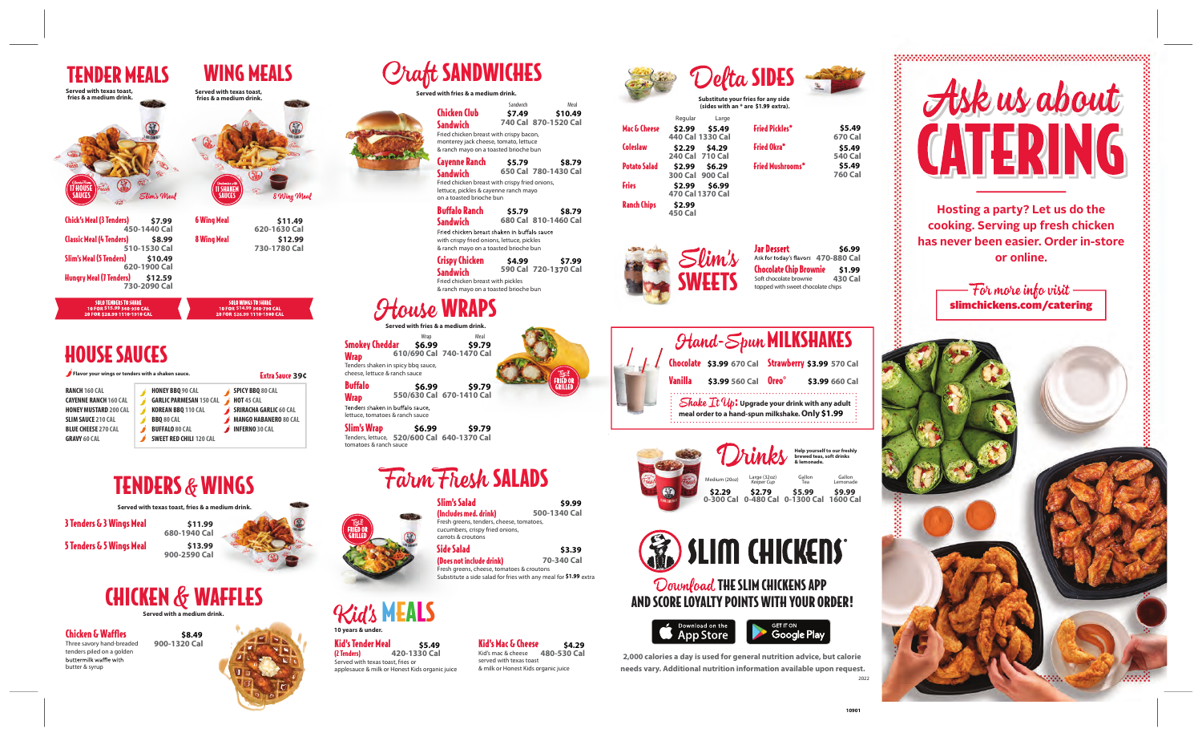**Hosting a party? Let us do the cooking. Serving up fresh chicken has never been easier. Order in-store or online.**

slimchickens.com/catering

TENDER MEALS WING MEALS

## **Served with fries & a medium drink.**

## MEALS

Download THE SLIM CHICKENS APP AND SCORE LOYALTY POINTS WITH YOUR ORDER!



Chicken Club **Sandwich** 

> **2,000 calories a day is used for general nutrition advice, but calorie needs vary. Additional nutrition information available upon request.**

auce **610/690 Cal 740-1470 Cal**

#### use WRAPS **Sandwich 590 Cal 720-1 0 Cal**

**Served with fries & a medium** 

Kids organic juice **420-1330 Cal**

Fried chicken breast with crispy bacon, monterey jack cheese, tomato, lettuce & ranch mayo on a toasted brioche bun

Sandwich Meal<br>**S7.49** S10.4

bbq sauce, Wrap **\$6.99** Delta SIDES **Substitute your fries for any side (sides with an \* are \$1.99 extra). \$1.99**

> **Helf to our freshl brewed teas, soft drinks & lemonade.** Large (32oz) *Keeper Cup* Medium (20oz) Gallon iallon Gallon<br>Tea Lemona Lemonade **0-300 Cal 0-480 Cal 0-1300 Cal 1600 Cal \$2.29 \$2.79 \$5.99 \$9.99**



| Served with texas toast,<br>fries & a medium drink.                                                                                                                                                                                                |                                                                                                                                                                        | Served with texas toast,<br>fries & a medium drink. |                                                                                                                                                           |                                                                                                                                                                                                                                                                                 |                    |
|----------------------------------------------------------------------------------------------------------------------------------------------------------------------------------------------------------------------------------------------------|------------------------------------------------------------------------------------------------------------------------------------------------------------------------|-----------------------------------------------------|-----------------------------------------------------------------------------------------------------------------------------------------------------------|---------------------------------------------------------------------------------------------------------------------------------------------------------------------------------------------------------------------------------------------------------------------------------|--------------------|
| <b>17 HOUSE</b><br><b>SAIICES</b>                                                                                                                                                                                                                  | Slim's Meal                                                                                                                                                            | I SHAKEN<br>SAUCES                                  | 8 Wing Meal                                                                                                                                               |                                                                                                                                                                                                                                                                                 |                    |
| <b>Chick's Meal (3 Tenders)</b><br><b>Classic Meal (4 Tenders)</b><br>Slim's Meal (5 Tenders)<br><b>Hungry Meal (7 Tenders)</b>                                                                                                                    | \$7.99<br>450-1440 Cal<br>\$8.99<br>510-1530 Cal<br>\$10.49<br>620-1900 Cal<br>\$12.59<br>730-2090 Cal                                                                 | <b>6 Wing Meal</b><br>8 Wing Meal                   | \$11.49<br>620-1630 Cal<br>\$12.99<br>730-1780 Cal                                                                                                        |                                                                                                                                                                                                                                                                                 |                    |
| <b>SOLO TENDERS TO SHARE</b><br>10 FOR \$15.99 560-950 CAL<br>20 FOR \$28.99 1110-1910 CAL                                                                                                                                                         |                                                                                                                                                                        |                                                     | <b>SOLO WINGS TO SHARE</b><br>10 FOR \$14.99 560-790 CAL<br>20 FOR \$26.99 1110-1580 CAL                                                                  |                                                                                                                                                                                                                                                                                 | <b>Served with</b> |
| <b>HOUSE SAUCES</b><br>Flavor your wings or tenders with a shaken sauce.<br><b>RANCH 160 CAL</b><br><b>CAYENNE RANCH 160 CAL</b><br><b>HONEY MUSTARD 200 CAL</b><br><b>SLIM SAUCE 210 CAL</b><br><b>BLUE CHEESE 270 CAL</b><br><b>GRAVY 60 CAL</b> | <b>HONEY BBO 90 CAL</b><br><b>GARLIC PARMESAN 150 CAL</b><br><b>KOREAN BBQ 110 CAL</b><br><b>BBQ 80 CAL</b><br><b>BUFFALO 80 CAL</b><br><b>SWEET RED CHILI 120 CAL</b> |                                                     | <b>Extra Sauce 39¢</b><br>SPICY BBQ 80 CAL<br><b>HOT 45 CAL</b><br><b>SRIRACHA GARLIC 60 CAL</b><br><b>MANGO HABANERO 80 CAL</b><br><b>INFERNO 30 CAL</b> | <b>Smokey Cheddar</b><br><b>Wrap</b><br>Tenders shaken in spicy bbo<br>cheese, lettuce & ranch sau<br><b>Buffalo</b><br><b>Wrap</b><br>Tenders shaken in buffalo sa<br>lettuce, tomatoes & ranch sa<br><b>Slim's Wrap</b><br>Tenders, lettuce, 520/60<br>tomatoes & ranch sauce | 610/69<br>550/63   |
|                                                                                                                                                                                                                                                    | <b>TENDERS &amp; WINGS</b>                                                                                                                                             |                                                     |                                                                                                                                                           |                                                                                                                                                                                                                                                                                 |                    |
| 3 Tenders & 3 Wings Meal<br>5 Tenders & 5 Wings Meal                                                                                                                                                                                               | Served with texas toast, fries & a medium drink.<br>680-1940 Cal<br>900-2590 Cal                                                                                       | \$11.99<br>\$13.99                                  |                                                                                                                                                           | <b>FRIED OR</b><br>GRILLED                                                                                                                                                                                                                                                      |                    |
|                                                                                                                                                                                                                                                    | <b>CHICKEN &amp; WAFFLES</b><br>Served with a medium drink.                                                                                                            |                                                     |                                                                                                                                                           | <b>Kid's MEA</b>                                                                                                                                                                                                                                                                |                    |
| <b>Chicken &amp; Waffles</b><br>Three savory hand-breaded<br>tenders piled on a golden<br>buttermilk waffle with<br>butter & syrup                                                                                                                 | \$8.49<br>900-1320 Cal                                                                                                                                                 |                                                     |                                                                                                                                                           | 10 years & under.<br><b>Kid's Tender Meal</b><br>(2 Tenders)<br>Served with texas toast, fries or<br>applesauce & milk or Honest Kio                                                                                                                                            | 420-13             |
|                                                                                                                                                                                                                                                    |                                                                                                                                                                        |                                                     |                                                                                                                                                           |                                                                                                                                                                                                                                                                                 |                    |

| <b>Cayenne Ranch</b><br><b>Sandwich</b>                                                                                                                                        | \$5.79 | \$8.79<br>650 Cal 780-1430 Cal | <b>Potato Salad</b> | <b>240 Cdl</b> / IU Cdl<br>\$2.99<br>\$6.29<br>300 Cal 900 Cal |
|--------------------------------------------------------------------------------------------------------------------------------------------------------------------------------|--------|--------------------------------|---------------------|----------------------------------------------------------------|
| Fried chicken breast with crispy fried onions,<br>lettuce, pickles & cayenne ranch mayo<br>on a toasted brioche bun                                                            |        |                                | <b>Fries</b>        | \$2.99<br>\$6.99<br>470 Cal 1370 Cal                           |
| <b>Buffalo Ranch</b><br><b>Sandwich</b><br>Fried chicken breast shaken in buffalo sauce<br>with crispy fried onions, lettuce, pickles<br>& ranch mayo on a toasted brioche bun | \$5.79 | \$8.79<br>680 Cal 810-1460 Cal | <b>Ranch Chips</b>  | \$2.99<br><b>450 Cal</b>                                       |
| Crispy Chicken<br><b>Sandwich</b><br>Fried chicken breast with pickles<br>& ranch mayo on a toasted brioche bun                                                                | \$4.99 | \$7.99<br>590 Cal 720-1370 Cal |                     | $\mathcal{S}$ lim's<br><b>SWEETS</b>                           |

cucumbers, crispy fried onions, carrots & croutons Side Salad

| <b>Hand-Spun MILKSHAKES</b>                                                                                                        |                     |                                                    |                |  |
|------------------------------------------------------------------------------------------------------------------------------------|---------------------|----------------------------------------------------|----------------|--|
|                                                                                                                                    |                     | Chocolate \$3.99 670 Cal Strawberry \$3.99 570 Cal |                |  |
| Vanilla                                                                                                                            | \$3.99 560 Cal Oreo |                                                    | \$3.99 660 Cal |  |
| $\frac{1}{2}$ Shake It $u_p$ : Upgrade your drink with any adult $\frac{1}{2}$<br>meal order to a hand-spun milkshake. Only \$1.99 |                     |                                                    |                |  |

Slim's Salad (Includes med. drink) Fresh greens, tenders, cheese, tomatoes, **500-1340 Cal**

**740 Cal 870-1520 Cal**

**Craft SANDWICHES** 



(Does not include drink) Fresh greens, cheese, tomatoes & croutons Substitute a side salad for fries with any meal for \$1.99 extra **70-340 Cal \$3.39**

|                     | Regular                    | Large  |                         |                          |
|---------------------|----------------------------|--------|-------------------------|--------------------------|
| Mac & Cheese        | \$2.99<br>440 Cal 1330 Cal | \$5.49 | <b>Fried Pickles*</b>   | \$5.49<br>670 Cal        |
| Coleslaw            | \$2.29<br>240 Cal 710 Cal  | \$4.29 | <b>Fried Okra*</b>      | \$5.49<br><b>540 Cal</b> |
| <b>Potato Salad</b> | \$2.99<br>300 Cal 900 Cal  | \$6.29 | <b>Fried Mushrooms*</b> | \$5.49<br><b>760 Cal</b> |
| Fries               | \$2.99<br>470 Cal 1370 Cal | \$6.99 |                         |                          |
| <b>Ranch Chips</b>  | \$2.99<br><b>450 Cal</b>   |        |                         |                          |





**550/630 Cal 670-1410 Cal \$9.79**

**520/600 Cal 640-1370 Cal \$6.99 \$9.79**

#### rm Fresh SALADS

## b.



**\$6.99**

sauce, l sauce



**\$9.99**

**\$7.49 \$10.49**

**10901**